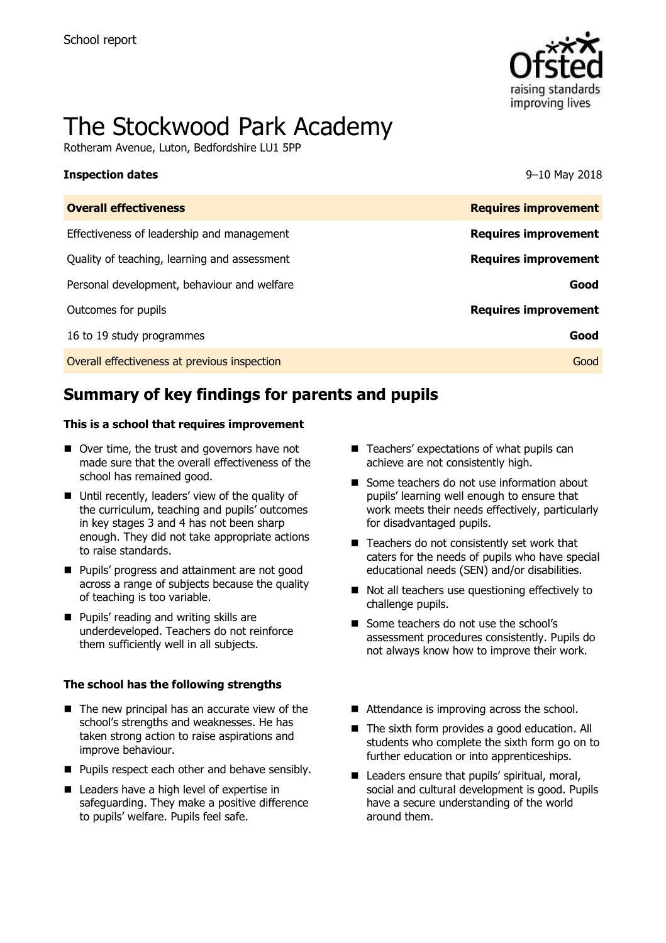

# The Stockwood Park Academy

Rotheram Avenue, Luton, Bedfordshire LU1 5PP

### **Inspection dates** 9–10 May 2018

| <b>Overall effectiveness</b>                 | <b>Requires improvement</b> |
|----------------------------------------------|-----------------------------|
| Effectiveness of leadership and management   | <b>Requires improvement</b> |
| Quality of teaching, learning and assessment | <b>Requires improvement</b> |
| Personal development, behaviour and welfare  | Good                        |
| Outcomes for pupils                          | <b>Requires improvement</b> |
| 16 to 19 study programmes                    | Good                        |
| Overall effectiveness at previous inspection | Good                        |
|                                              |                             |

# **Summary of key findings for parents and pupils**

### **This is a school that requires improvement**

- Over time, the trust and governors have not made sure that the overall effectiveness of the school has remained good.
- Until recently, leaders' view of the quality of the curriculum, teaching and pupils' outcomes in key stages 3 and 4 has not been sharp enough. They did not take appropriate actions to raise standards.
- **Pupils' progress and attainment are not good** across a range of subjects because the quality of teaching is too variable.
- **Pupils' reading and writing skills are** underdeveloped. Teachers do not reinforce them sufficiently well in all subjects.

### **The school has the following strengths**

- $\blacksquare$  The new principal has an accurate view of the school's strengths and weaknesses. He has taken strong action to raise aspirations and improve behaviour.
- **Pupils respect each other and behave sensibly.**
- Leaders have a high level of expertise in safeguarding. They make a positive difference to pupils' welfare. Pupils feel safe.
- Teachers' expectations of what pupils can achieve are not consistently high.
- Some teachers do not use information about pupils' learning well enough to ensure that work meets their needs effectively, particularly for disadvantaged pupils.
- Teachers do not consistently set work that caters for the needs of pupils who have special educational needs (SEN) and/or disabilities.
- Not all teachers use questioning effectively to challenge pupils.
- Some teachers do not use the school's assessment procedures consistently. Pupils do not always know how to improve their work.
- Attendance is improving across the school.
- The sixth form provides a good education. All students who complete the sixth form go on to further education or into apprenticeships.
- Leaders ensure that pupils' spiritual, moral, social and cultural development is good. Pupils have a secure understanding of the world around them.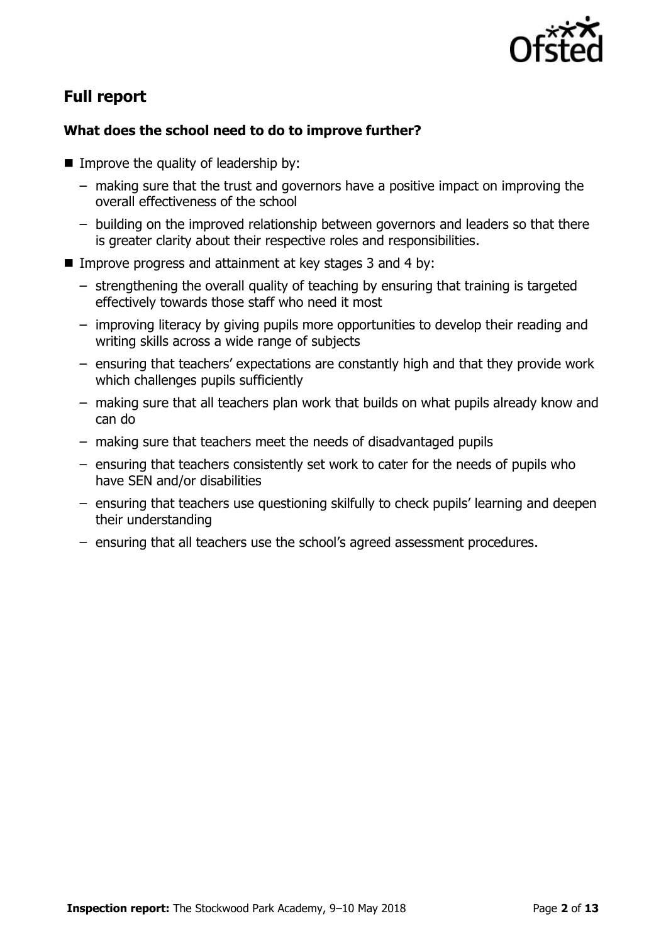

# **Full report**

# **What does the school need to do to improve further?**

- $\blacksquare$  Improve the quality of leadership by:
	- making sure that the trust and governors have a positive impact on improving the overall effectiveness of the school
	- building on the improved relationship between governors and leaders so that there is greater clarity about their respective roles and responsibilities.
- Improve progress and attainment at key stages 3 and 4 by:
	- strengthening the overall quality of teaching by ensuring that training is targeted effectively towards those staff who need it most
	- improving literacy by giving pupils more opportunities to develop their reading and writing skills across a wide range of subjects
	- ensuring that teachers' expectations are constantly high and that they provide work which challenges pupils sufficiently
	- making sure that all teachers plan work that builds on what pupils already know and can do
	- making sure that teachers meet the needs of disadvantaged pupils
	- ensuring that teachers consistently set work to cater for the needs of pupils who have SEN and/or disabilities
	- ensuring that teachers use questioning skilfully to check pupils' learning and deepen their understanding
	- ensuring that all teachers use the school's agreed assessment procedures.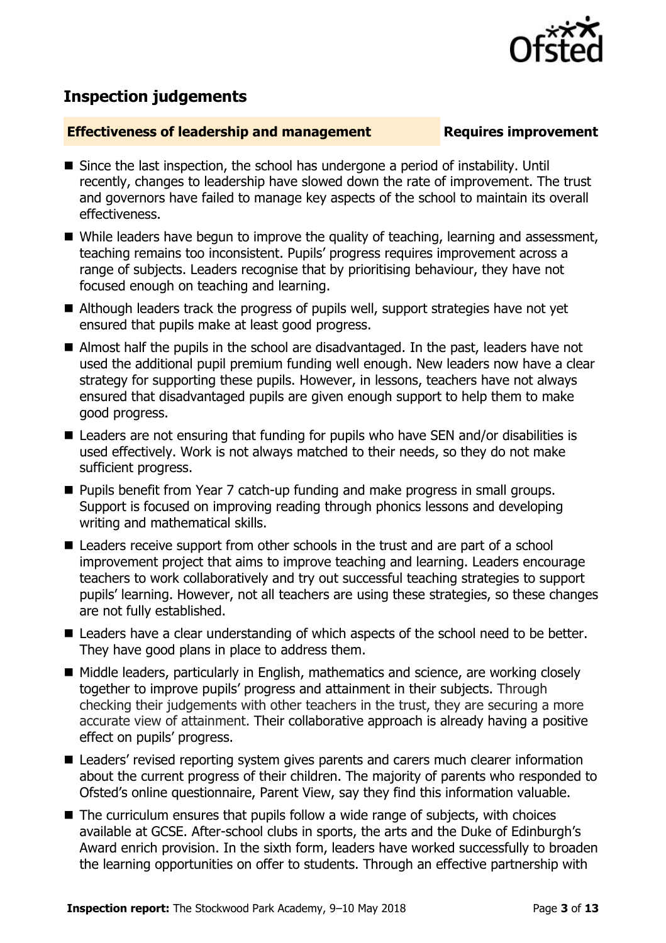

# **Inspection judgements**

### **Effectiveness of leadership and management Requires improvement**

- Since the last inspection, the school has undergone a period of instability. Until recently, changes to leadership have slowed down the rate of improvement. The trust and governors have failed to manage key aspects of the school to maintain its overall effectiveness.
- While leaders have begun to improve the quality of teaching, learning and assessment, teaching remains too inconsistent. Pupils' progress requires improvement across a range of subjects. Leaders recognise that by prioritising behaviour, they have not focused enough on teaching and learning.
- Although leaders track the progress of pupils well, support strategies have not yet ensured that pupils make at least good progress.
- Almost half the pupils in the school are disadvantaged. In the past, leaders have not used the additional pupil premium funding well enough. New leaders now have a clear strategy for supporting these pupils. However, in lessons, teachers have not always ensured that disadvantaged pupils are given enough support to help them to make good progress.
- Leaders are not ensuring that funding for pupils who have SEN and/or disabilities is used effectively. Work is not always matched to their needs, so they do not make sufficient progress.
- Pupils benefit from Year 7 catch-up funding and make progress in small groups. Support is focused on improving reading through phonics lessons and developing writing and mathematical skills.
- Leaders receive support from other schools in the trust and are part of a school improvement project that aims to improve teaching and learning. Leaders encourage teachers to work collaboratively and try out successful teaching strategies to support pupils' learning. However, not all teachers are using these strategies, so these changes are not fully established.
- Leaders have a clear understanding of which aspects of the school need to be better. They have good plans in place to address them.
- Middle leaders, particularly in English, mathematics and science, are working closely together to improve pupils' progress and attainment in their subjects. Through checking their judgements with other teachers in the trust, they are securing a more accurate view of attainment. Their collaborative approach is already having a positive effect on pupils' progress.
- Leaders' revised reporting system gives parents and carers much clearer information about the current progress of their children. The majority of parents who responded to Ofsted's online questionnaire, Parent View, say they find this information valuable.
- $\blacksquare$  The curriculum ensures that pupils follow a wide range of subjects, with choices available at GCSE. After-school clubs in sports, the arts and the Duke of Edinburgh's Award enrich provision. In the sixth form, leaders have worked successfully to broaden the learning opportunities on offer to students. Through an effective partnership with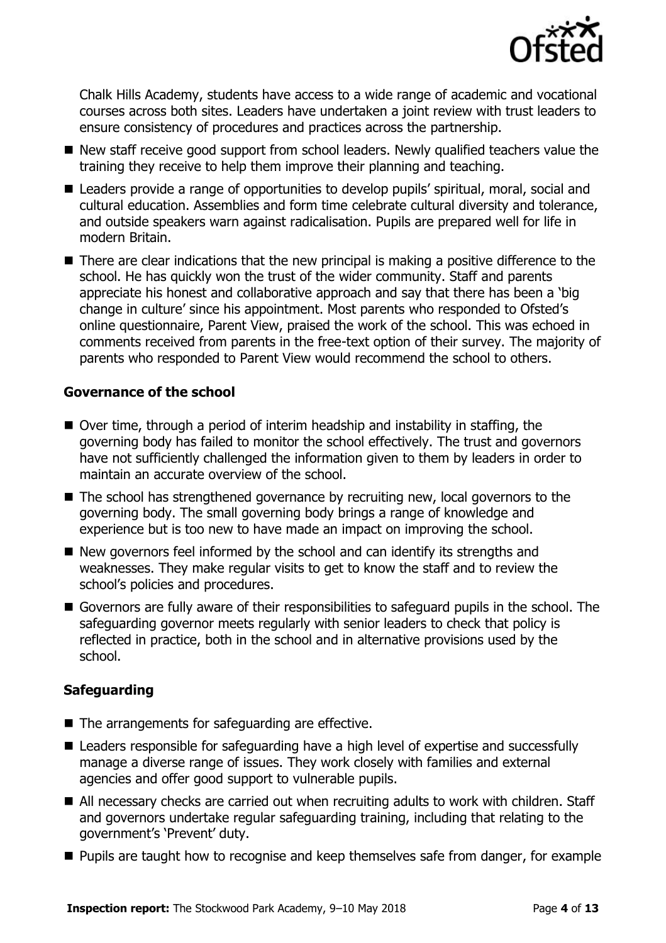

Chalk Hills Academy, students have access to a wide range of academic and vocational courses across both sites. Leaders have undertaken a joint review with trust leaders to ensure consistency of procedures and practices across the partnership.

- New staff receive good support from school leaders. Newly qualified teachers value the training they receive to help them improve their planning and teaching.
- Leaders provide a range of opportunities to develop pupils' spiritual, moral, social and cultural education. Assemblies and form time celebrate cultural diversity and tolerance, and outside speakers warn against radicalisation. Pupils are prepared well for life in modern Britain.
- There are clear indications that the new principal is making a positive difference to the school. He has quickly won the trust of the wider community. Staff and parents appreciate his honest and collaborative approach and say that there has been a 'big change in culture' since his appointment. Most parents who responded to Ofsted's online questionnaire, Parent View, praised the work of the school. This was echoed in comments received from parents in the free-text option of their survey. The majority of parents who responded to Parent View would recommend the school to others.

# **Governance of the school**

- Over time, through a period of interim headship and instability in staffing, the governing body has failed to monitor the school effectively. The trust and governors have not sufficiently challenged the information given to them by leaders in order to maintain an accurate overview of the school.
- The school has strengthened governance by recruiting new, local governors to the governing body. The small governing body brings a range of knowledge and experience but is too new to have made an impact on improving the school.
- New governors feel informed by the school and can identify its strengths and weaknesses. They make regular visits to get to know the staff and to review the school's policies and procedures.
- Governors are fully aware of their responsibilities to safeguard pupils in the school. The safeguarding governor meets regularly with senior leaders to check that policy is reflected in practice, both in the school and in alternative provisions used by the school.

# **Safeguarding**

- The arrangements for safeguarding are effective.
- Leaders responsible for safeguarding have a high level of expertise and successfully manage a diverse range of issues. They work closely with families and external agencies and offer good support to vulnerable pupils.
- All necessary checks are carried out when recruiting adults to work with children. Staff and governors undertake regular safeguarding training, including that relating to the government's 'Prevent' duty.
- **Pupils are taught how to recognise and keep themselves safe from danger, for example**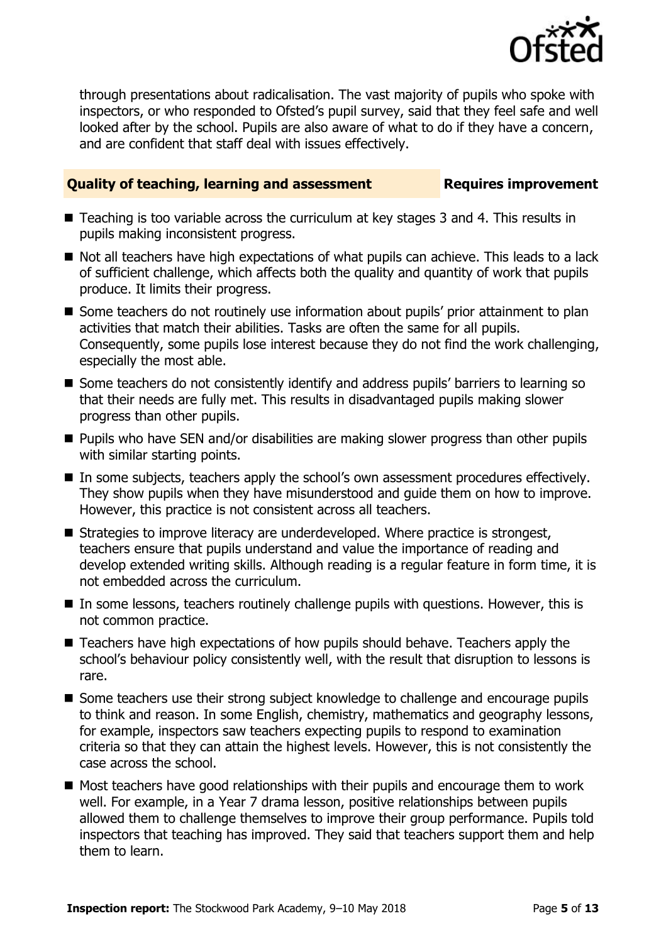

through presentations about radicalisation. The vast majority of pupils who spoke with inspectors, or who responded to Ofsted's pupil survey, said that they feel safe and well looked after by the school. Pupils are also aware of what to do if they have a concern, and are confident that staff deal with issues effectively.

# **Quality of teaching, learning and assessment Requires improvement**

- Teaching is too variable across the curriculum at key stages 3 and 4. This results in pupils making inconsistent progress.
- Not all teachers have high expectations of what pupils can achieve. This leads to a lack of sufficient challenge, which affects both the quality and quantity of work that pupils produce. It limits their progress.
- Some teachers do not routinely use information about pupils' prior attainment to plan activities that match their abilities. Tasks are often the same for all pupils. Consequently, some pupils lose interest because they do not find the work challenging, especially the most able.
- Some teachers do not consistently identify and address pupils' barriers to learning so that their needs are fully met. This results in disadvantaged pupils making slower progress than other pupils.
- **Pupils who have SEN and/or disabilities are making slower progress than other pupils** with similar starting points.
- In some subjects, teachers apply the school's own assessment procedures effectively. They show pupils when they have misunderstood and guide them on how to improve. However, this practice is not consistent across all teachers.
- Strategies to improve literacy are underdeveloped. Where practice is strongest, teachers ensure that pupils understand and value the importance of reading and develop extended writing skills. Although reading is a regular feature in form time, it is not embedded across the curriculum.
- In some lessons, teachers routinely challenge pupils with questions. However, this is not common practice.
- Teachers have high expectations of how pupils should behave. Teachers apply the school's behaviour policy consistently well, with the result that disruption to lessons is rare.
- **Some teachers use their strong subject knowledge to challenge and encourage pupils** to think and reason. In some English, chemistry, mathematics and geography lessons, for example, inspectors saw teachers expecting pupils to respond to examination criteria so that they can attain the highest levels. However, this is not consistently the case across the school.
- Most teachers have good relationships with their pupils and encourage them to work well. For example, in a Year 7 drama lesson, positive relationships between pupils allowed them to challenge themselves to improve their group performance. Pupils told inspectors that teaching has improved. They said that teachers support them and help them to learn.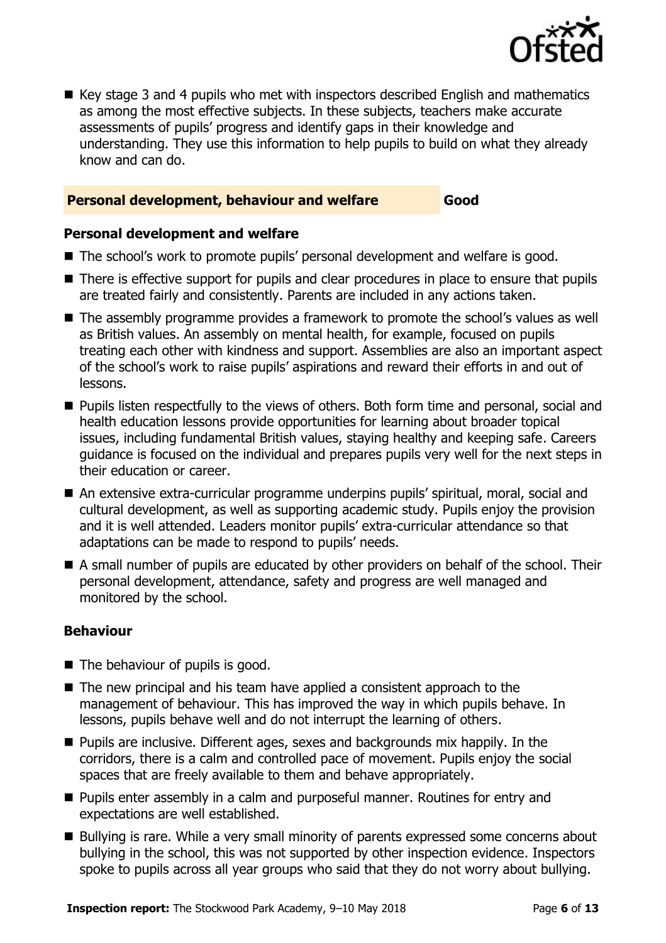

■ Key stage 3 and 4 pupils who met with inspectors described English and mathematics as among the most effective subjects. In these subjects, teachers make accurate assessments of pupils' progress and identify gaps in their knowledge and understanding. They use this information to help pupils to build on what they already know and can do.

# **Personal development, behaviour and welfare Good**

### **Personal development and welfare**

- The school's work to promote pupils' personal development and welfare is good.
- There is effective support for pupils and clear procedures in place to ensure that pupils are treated fairly and consistently. Parents are included in any actions taken.
- The assembly programme provides a framework to promote the school's values as well as British values. An assembly on mental health, for example, focused on pupils treating each other with kindness and support. Assemblies are also an important aspect of the school's work to raise pupils' aspirations and reward their efforts in and out of lessons.
- **Pupils listen respectfully to the views of others. Both form time and personal, social and** health education lessons provide opportunities for learning about broader topical issues, including fundamental British values, staying healthy and keeping safe. Careers guidance is focused on the individual and prepares pupils very well for the next steps in their education or career.
- An extensive extra-curricular programme underpins pupils' spiritual, moral, social and cultural development, as well as supporting academic study. Pupils enjoy the provision and it is well attended. Leaders monitor pupils' extra-curricular attendance so that adaptations can be made to respond to pupils' needs.
- A small number of pupils are educated by other providers on behalf of the school. Their personal development, attendance, safety and progress are well managed and monitored by the school.

# **Behaviour**

- The behaviour of pupils is good.
- $\blacksquare$  The new principal and his team have applied a consistent approach to the management of behaviour. This has improved the way in which pupils behave. In lessons, pupils behave well and do not interrupt the learning of others.
- **Pupils are inclusive. Different ages, sexes and backgrounds mix happily. In the** corridors, there is a calm and controlled pace of movement. Pupils enjoy the social spaces that are freely available to them and behave appropriately.
- **Pupils enter assembly in a calm and purposeful manner. Routines for entry and** expectations are well established.
- Bullying is rare. While a very small minority of parents expressed some concerns about bullying in the school, this was not supported by other inspection evidence. Inspectors spoke to pupils across all year groups who said that they do not worry about bullying.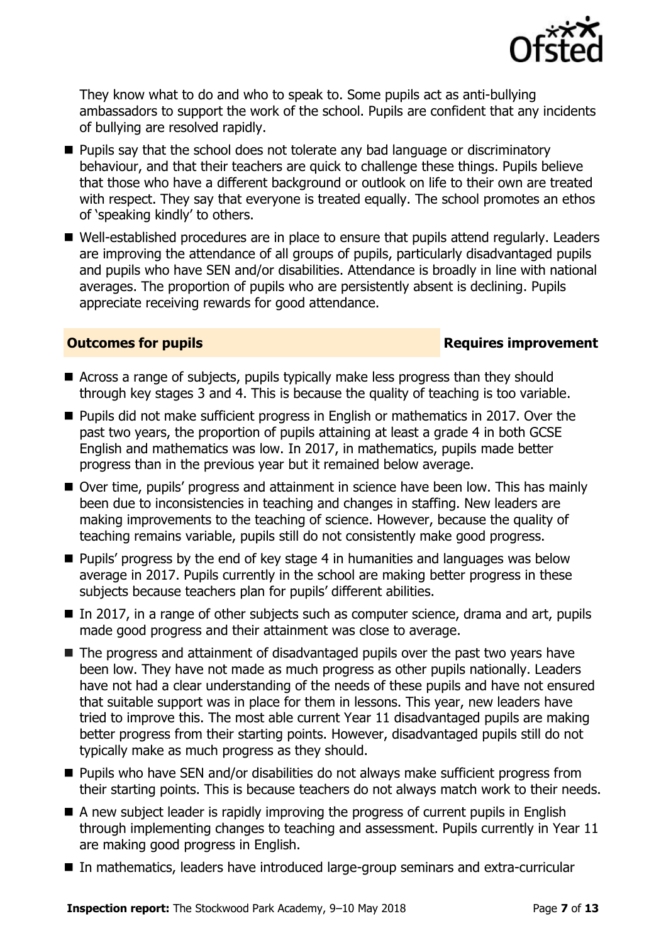

They know what to do and who to speak to. Some pupils act as anti-bullying ambassadors to support the work of the school. Pupils are confident that any incidents of bullying are resolved rapidly.

- **Pupils say that the school does not tolerate any bad language or discriminatory** behaviour, and that their teachers are quick to challenge these things. Pupils believe that those who have a different background or outlook on life to their own are treated with respect. They say that everyone is treated equally. The school promotes an ethos of 'speaking kindly' to others.
- Well-established procedures are in place to ensure that pupils attend regularly. Leaders are improving the attendance of all groups of pupils, particularly disadvantaged pupils and pupils who have SEN and/or disabilities. Attendance is broadly in line with national averages. The proportion of pupils who are persistently absent is declining. Pupils appreciate receiving rewards for good attendance.

# **Outcomes for pupils Requires improvement**

- Across a range of subjects, pupils typically make less progress than they should through key stages 3 and 4. This is because the quality of teaching is too variable.
- Pupils did not make sufficient progress in English or mathematics in 2017. Over the past two years, the proportion of pupils attaining at least a grade 4 in both GCSE English and mathematics was low. In 2017, in mathematics, pupils made better progress than in the previous year but it remained below average.
- Over time, pupils' progress and attainment in science have been low. This has mainly been due to inconsistencies in teaching and changes in staffing. New leaders are making improvements to the teaching of science. However, because the quality of teaching remains variable, pupils still do not consistently make good progress.
- **Pupils' progress by the end of key stage 4 in humanities and languages was below** average in 2017. Pupils currently in the school are making better progress in these subjects because teachers plan for pupils' different abilities.
- $\blacksquare$  In 2017, in a range of other subjects such as computer science, drama and art, pupils made good progress and their attainment was close to average.
- The progress and attainment of disadvantaged pupils over the past two years have been low. They have not made as much progress as other pupils nationally. Leaders have not had a clear understanding of the needs of these pupils and have not ensured that suitable support was in place for them in lessons. This year, new leaders have tried to improve this. The most able current Year 11 disadvantaged pupils are making better progress from their starting points. However, disadvantaged pupils still do not typically make as much progress as they should.
- **Pupils who have SEN and/or disabilities do not always make sufficient progress from** their starting points. This is because teachers do not always match work to their needs.
- A new subject leader is rapidly improving the progress of current pupils in English through implementing changes to teaching and assessment. Pupils currently in Year 11 are making good progress in English.
- In mathematics, leaders have introduced large-group seminars and extra-curricular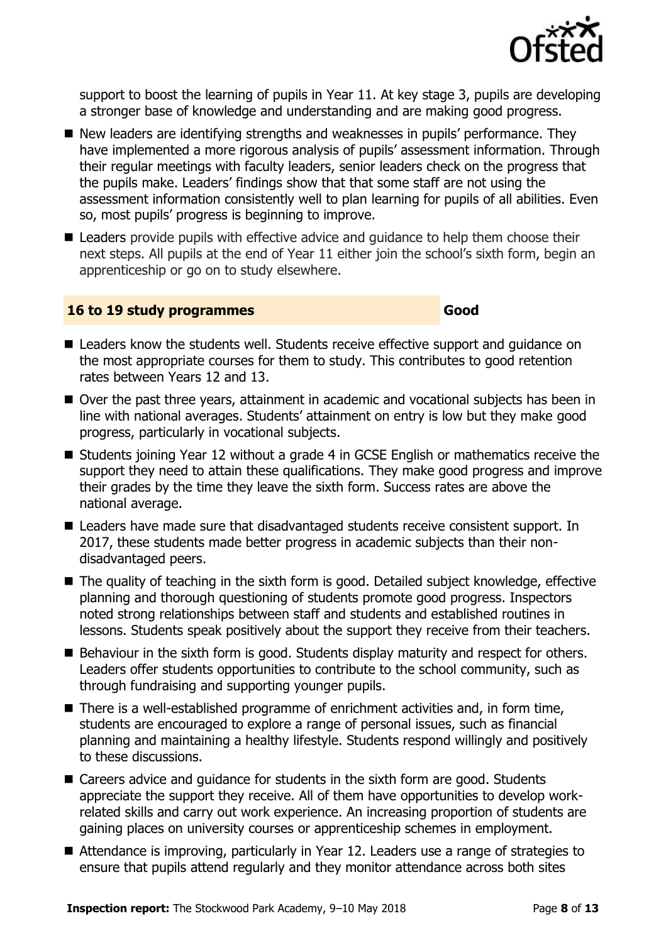

support to boost the learning of pupils in Year 11. At key stage 3, pupils are developing a stronger base of knowledge and understanding and are making good progress.

- New leaders are identifying strengths and weaknesses in pupils' performance. They have implemented a more rigorous analysis of pupils' assessment information. Through their regular meetings with faculty leaders, senior leaders check on the progress that the pupils make. Leaders' findings show that that some staff are not using the assessment information consistently well to plan learning for pupils of all abilities. Even so, most pupils' progress is beginning to improve.
- Leaders provide pupils with effective advice and quidance to help them choose their next steps. All pupils at the end of Year 11 either join the school's sixth form, begin an apprenticeship or go on to study elsewhere.

# **16 to 19 study programmes Good**

- Leaders know the students well. Students receive effective support and quidance on the most appropriate courses for them to study. This contributes to good retention rates between Years 12 and 13.
- Over the past three years, attainment in academic and vocational subjects has been in line with national averages. Students' attainment on entry is low but they make good progress, particularly in vocational subjects.
- Students joining Year 12 without a grade 4 in GCSE English or mathematics receive the support they need to attain these qualifications. They make good progress and improve their grades by the time they leave the sixth form. Success rates are above the national average.
- Leaders have made sure that disadvantaged students receive consistent support. In 2017, these students made better progress in academic subjects than their nondisadvantaged peers.
- The quality of teaching in the sixth form is good. Detailed subject knowledge, effective planning and thorough questioning of students promote good progress. Inspectors noted strong relationships between staff and students and established routines in lessons. Students speak positively about the support they receive from their teachers.
- Behaviour in the sixth form is good. Students display maturity and respect for others. Leaders offer students opportunities to contribute to the school community, such as through fundraising and supporting younger pupils.
- There is a well-established programme of enrichment activities and, in form time, students are encouraged to explore a range of personal issues, such as financial planning and maintaining a healthy lifestyle. Students respond willingly and positively to these discussions.
- Careers advice and quidance for students in the sixth form are good. Students appreciate the support they receive. All of them have opportunities to develop workrelated skills and carry out work experience. An increasing proportion of students are gaining places on university courses or apprenticeship schemes in employment.
- Attendance is improving, particularly in Year 12. Leaders use a range of strategies to ensure that pupils attend regularly and they monitor attendance across both sites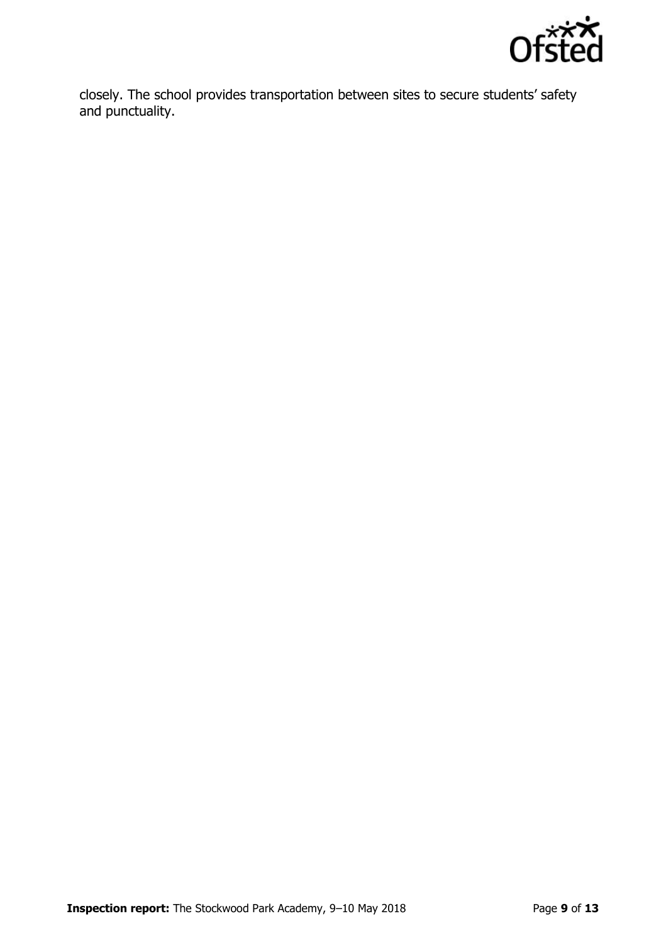

closely. The school provides transportation between sites to secure students' safety and punctuality.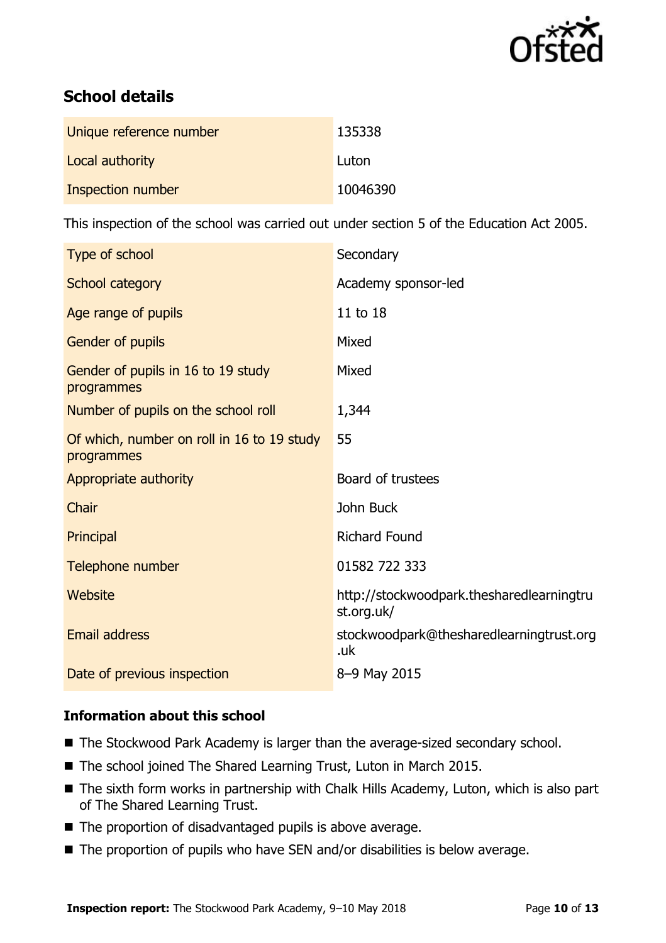

# **School details**

| Unique reference number | 135338   |
|-------------------------|----------|
| Local authority         | Luton    |
| Inspection number       | 10046390 |

This inspection of the school was carried out under section 5 of the Education Act 2005.

| Type of school                                           | Secondary                                               |
|----------------------------------------------------------|---------------------------------------------------------|
| School category                                          | Academy sponsor-led                                     |
| Age range of pupils                                      | 11 to 18                                                |
| Gender of pupils                                         | Mixed                                                   |
| Gender of pupils in 16 to 19 study<br>programmes         | Mixed                                                   |
| Number of pupils on the school roll                      | 1,344                                                   |
| Of which, number on roll in 16 to 19 study<br>programmes | 55                                                      |
| Appropriate authority                                    | Board of trustees                                       |
| Chair                                                    | John Buck                                               |
| Principal                                                | <b>Richard Found</b>                                    |
| Telephone number                                         | 01582 722 333                                           |
| Website                                                  | http://stockwoodpark.thesharedlearningtru<br>st.org.uk/ |
| <b>Email address</b>                                     | stockwoodpark@thesharedlearningtrust.org<br>.uk         |
| Date of previous inspection                              | 8-9 May 2015                                            |

# **Information about this school**

- The Stockwood Park Academy is larger than the average-sized secondary school.
- The school joined The Shared Learning Trust, Luton in March 2015.
- The sixth form works in partnership with Chalk Hills Academy, Luton, which is also part of The Shared Learning Trust.
- The proportion of disadvantaged pupils is above average.
- The proportion of pupils who have SEN and/or disabilities is below average.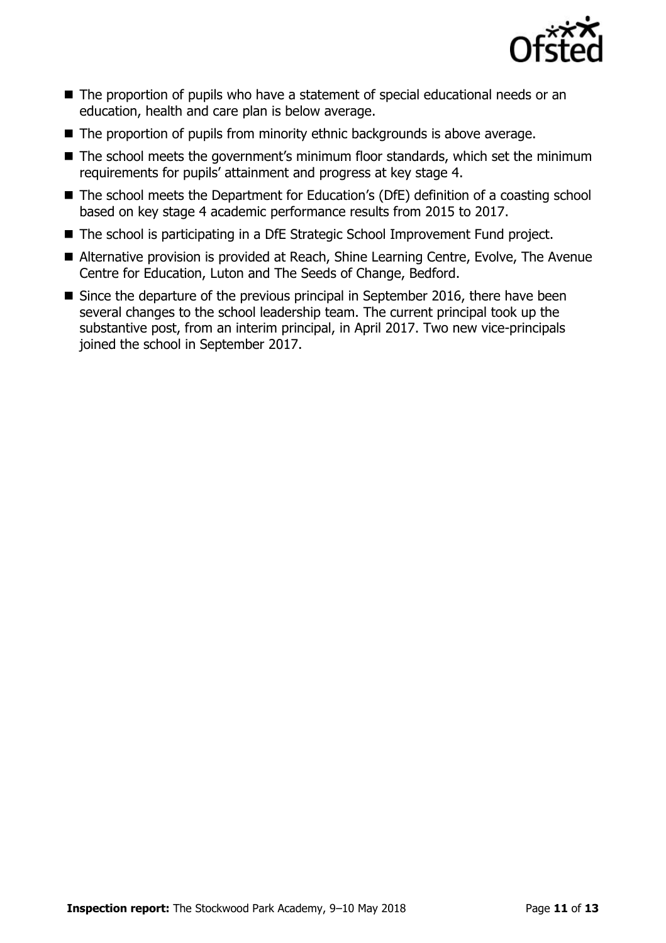

- The proportion of pupils who have a statement of special educational needs or an education, health and care plan is below average.
- The proportion of pupils from minority ethnic backgrounds is above average.
- The school meets the government's minimum floor standards, which set the minimum requirements for pupils' attainment and progress at key stage 4.
- The school meets the Department for Education's (DfE) definition of a coasting school based on key stage 4 academic performance results from 2015 to 2017.
- The school is participating in a DfE Strategic School Improvement Fund project.
- Alternative provision is provided at Reach, Shine Learning Centre, Evolve, The Avenue Centre for Education, Luton and The Seeds of Change, Bedford.
- Since the departure of the previous principal in September 2016, there have been several changes to the school leadership team. The current principal took up the substantive post, from an interim principal, in April 2017. Two new vice-principals joined the school in September 2017.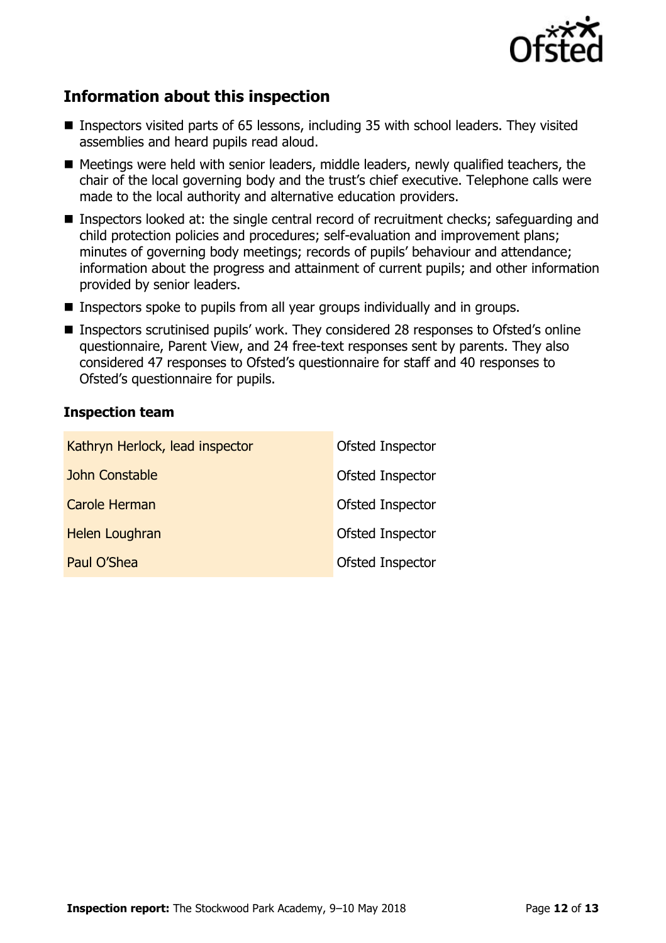

# **Information about this inspection**

- Inspectors visited parts of 65 lessons, including 35 with school leaders. They visited assemblies and heard pupils read aloud.
- Meetings were held with senior leaders, middle leaders, newly qualified teachers, the chair of the local governing body and the trust's chief executive. Telephone calls were made to the local authority and alternative education providers.
- Inspectors looked at: the single central record of recruitment checks; safeguarding and child protection policies and procedures; self-evaluation and improvement plans; minutes of governing body meetings; records of pupils' behaviour and attendance; information about the progress and attainment of current pupils; and other information provided by senior leaders.
- **Inspectors spoke to pupils from all year groups individually and in groups.**
- Inspectors scrutinised pupils' work. They considered 28 responses to Ofsted's online questionnaire, Parent View, and 24 free-text responses sent by parents. They also considered 47 responses to Ofsted's questionnaire for staff and 40 responses to Ofsted's questionnaire for pupils.

# **Inspection team**

| Kathryn Herlock, lead inspector | Ofsted Inspector |
|---------------------------------|------------------|
| John Constable                  | Ofsted Inspector |
| <b>Carole Herman</b>            | Ofsted Inspector |
| <b>Helen Loughran</b>           | Ofsted Inspector |
| Paul O'Shea                     | Ofsted Inspector |